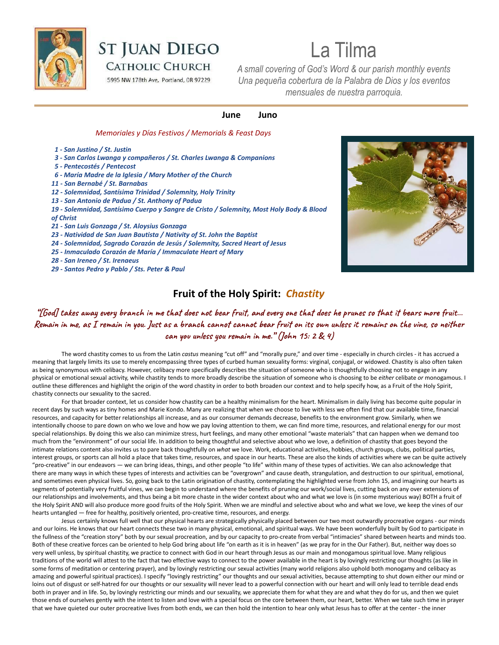

# **ST JUAN DIEGO**

**CATHOLIC CHURCH** 

5995 NW 178th Ave, Portland, OR 97229

# La Tilma

*A small covering of God's Word & our parish monthly events Una pequeña cobertura de la Palabra de Dios y los eventos mensuales de nuestra parroquia.*

#### **June Juno**

#### *Memoriales y Días Festivos / Memorials & Feast Days*

- *1 San Justino / St. Justin*
- *3 San Carlos Lwanga y compañeros / St. Charles Lwanga & Companions*
- *5 Pentecostés / Pentecost*
- *6 María Madre de la Iglesia / Mary Mother of the Church*
- *11 San Bernabé / St. Barnabas*
- *12 Solemnidad, Santísima Trinidad / Solemnity, Holy Trinity*
- *13 San Antonio de Padua / St. Anthony of Padua*
- *19 Solemnidad, Santísimo Cuerpo y Sangre de Cristo / Solemnity, Most Holy Body & Blood of Christ*
- *21 San Luis Gonzaga / St. Aloysius Gonzaga*
- *23 Natividad de San Juan Bautista / Nativity of St. John the Baptist*
- *24 Solemnidad, Sagrado Corazón de Jesús / Solemnity, Sacred Heart of Jesus*
- *25 Inmaculado Corazón de María / Immaculate Heart of Mary*
- *28 San Ireneo / St. Irenaeus*
- *29 Santos Pedro y Pablo / Sts. Peter & Paul*



# **Fruit of the Holy Spirit:** *Chastity*

"[God] takes away every branch in me that does not bear fruit, and every one that does he prunes so that it bears more fruit… Remain in me, as I remain in you. Just as a branch cannot cannot bear fruit on its own unless it remains on the vine, so neither **can you unless you remain in me." (John 15: 2 & 4)**

The word chastity comes to us from the Latin *castus* meaning "cut off" and "morally pure," and over time - especially in church circles - it has accrued a meaning that largely limits its use to merely encompassing three types of curbed human sexuality forms: virginal, conjugal, or widowed. Chastity is also often taken as being synonymous with celibacy. However, celibacy more specifically describes the situation of someone who is thoughtfully choosing not to engage in any physical or emotional sexual activity, while chastity tends to more broadly describe the situation of someone who is choosing to be *either* celibate *or* monogamous. I outline these differences and highlight the origin of the word chastity in order to both broaden our context and to help specify how, as a Fruit of the Holy Spirit, chastity connects our sexuality to the sacred.

For that broader context, let us consider how chastity can be a healthy minimalism for the heart. Minimalism in daily living has become quite popular in recent days by such ways as tiny homes and Marie Kondo. Many are realizing that when we choose to live with less we often find that our available time, financial resources, and capacity for better relationships all increase, and as our consumer demands decrease, benefits to the environment grow. Similarly, when we intentionally choose to pare down on who we love and how we pay loving attention to them, we can find more time, resources, and relational energy for our most special relationships. By doing this we also can minimize stress, hurt feelings, and many other emotional "waste materials" that can happen when we demand too much from the "environment" of our social life. In addition to being thoughtful and selective about who we love, a definition of chastity that goes beyond the intimate relations content also invites us to pare back thoughtfully on *what* we love. Work, educational activities, hobbies, church groups, clubs, political parties, interest groups, or sports can all hold a place that takes time, resources, and space in our hearts. These are also the kinds of activities where we can be quite actively "pro-creative" in our endeavors — we can bring ideas, things, and other people "to life" within many of these types of activities. We can also acknowledge that there are many ways in which these types of interests and activities can be "overgrown" and cause death, strangulation, and destruction to our spiritual, emotional, and sometimes even physical lives. So, going back to the Latin origination of chastity, contemplating the highlighted verse from John 15, and imagining our hearts as segments of potentially very fruitful vines, we can begin to understand where the benefits of pruning our work/social lives, cutting back on any over extensions of our relationships and involvements, and thus being a bit more chaste in the wider context about who and what we love is (in some mysterious way) BOTH a fruit of the Holy Spirit AND will also produce more good fruits of the Holy Spirit. When we are mindful and selective about who and what we love, we keep the vines of our hearts untangled — free for healthy, positively oriented, pro-creative time, resources, and energy.

Jesus certainly knows full well that our physical hearts are strategically physically placed between our two most outwardly procreative organs - our minds and our loins. He knows that our heart connects these two in many physical, emotional, and spiritual ways. We have been wonderfully built by God to participate in the fullness of the "creation story" both by our sexual procreation, and by our capacity to pro-create from verbal "intimacies" shared between hearts and minds too. Both of these creative forces can be oriented to help God bring about life "on earth as it is in heaven" (as we pray for in the Our Father). But, neither way does so very well unless, by spiritual chastity, we practice to connect with God in our heart through Jesus as our main and monogamous spiritual love. Many religious traditions of the world will attest to the fact that two effective ways to connect to the power available in the heart is by lovingly restricting our thoughts (as like in some forms of meditation or centering prayer), and by lovingly restricting our sexual activities (many world religions also uphold both monogamy and celibacy as amazing and powerful spiritual practices). I specify "lovingly restricting" our thoughts and our sexual activities, because attempting to shut down either our mind or loins out of disgust or self-hatred for our thoughts or our sexuality will never lead to a powerful connection with our heart and will only lead to terrible dead ends both in prayer and in life. So, by lovingly restricting our minds and our sexuality, we appreciate them for what they are and what they do for us, and then we quiet those ends of ourselves gently with the intent to listen and love with a special focus on the core between them, our heart, better. When we take such time in prayer that we have quieted our outer procreative lives from both ends, we can then hold the intention to hear only what Jesus has to offer at the center - the inner